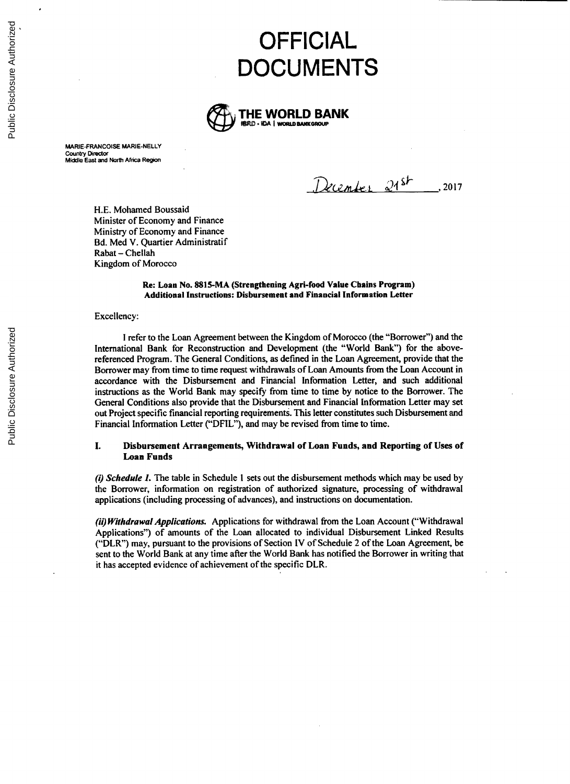# **OFFICIAL DOCUMENTS**



MARIE-FRANCOISE MARIE-NELLY Country Director Middle East and North Africa Region

December 21st ... 2017

**H.E.** Mohamed Boussaid Minister of Economy and Finance Ministry of Economy and Finance Bd. Med V. Quartier Administratif Rabat **-** Chellah Kingdom of Morocco

### Re: Loan No. **8815-MA** (Strengthening Agri-food Value Chains Program) Additional Instructions: Disbursement and Financial Information Letter

#### Excellency:

**I** refer to the Loan Agreement between the Kingdom of Morocco (the "Borrower") and the International Bank for Reconstruction and Development (the "World Bank") for the abovereferenced Program. The General Conditions, as defined in the Loan Agreement, provide that the Borrower may from time to time request withdrawals of Loan Amounts from the Loan Account in accordance with the Disbursement and Financial Information Letter, and such additional instructions as the World Bank may specify from time to time **by** notice to the Borrower. The General Conditions also provide that the Disbursement and Financial Information Letter may set out Project specific financial reporting requirements. This letter constitutes such Disbursement and Financial Information Letter **("DFIL"),** and may be revised from time to time.

## **I.** Disbursement Arrangements, Withdrawal of Loan Funds, **and** Reporting of Uses of Loan Funds

*(i) Schedule 1.* The table in Schedule **I** sets out the disbursement methods which may be used **by** the Borrower, information on registration of authorized signature, processing of withdrawal applications (including processing of advances), and instructions on documentation.

*(ii)* **Withdrawal** *Applications.* Applications for withdrawal from the Loan Account ("Withdrawal Applications") of amounts of the Loan allocated to individual Disbursement Linked Results ("DLR") may, pursuant to the provisions of Section IV of Schedule 2 of the Loan Agreement, be sent to the World Bank at any time after the World Bank has notified the Borrower in writing that it has accepted evidence of achievement of the specific DLR.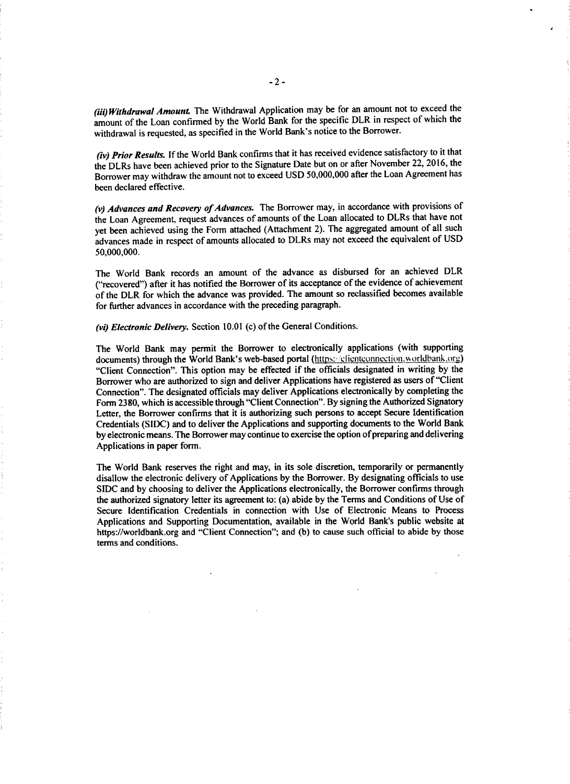*(iii) Withdrawal Amount* The Withdrawal Application may be for an amount not to exceed the amount of the Loan confirmed **by** the World Bank for the specific DLR in respect **of** which the withdrawal is requested, as specified in the World Bank's notice to the Borrower.

*(iv) Prior Results.* **If** the World Bank confirms that it has received evidence satisfactory to it that the DLRs have been achieved prior to the Signature Date but on or after November 22, **2016,** the Borrower may withdraw the amount not to exceed **USD 50,000,000** after the Loan Agreement has been declared effective.

*(v) Advances and Recovery of Advances.* The Borrower may, in accordance with provisions of the Loan Agreement, request advances of amounts of the Loan allocated to DLRs that have not yet been achieved using the Form attached (Attachment 2). The aggregated amount of all such advances made in respect of amounts allocated to DLRs may not exceed the equivalent of **USD 50,000,000.**

The World Bank records an amount of the advance as disbursed for an achieved DLR ("recovered") after it has notified the Borrower of its acceptance of the evidence of achievement of the DLR for which the advance was provided. The amount so reclassified becomes available for further advances in accordance with the preceding paragraph.

*(vi) Electronic Delivery.* Section **10.01 (c)** of the General Conditions.

The World Bank may permit the Borrower to electronically applications (with supporting documents) through the World Bank's web-based portal (https://clientconnection.worldbank.org) "Client Connection". This option may be effected if the officials designated in writing **by** the Borrower who are authorized to sign and deliver Applications have registered as users of "Client Connection". The designated officials may deliver Applications electronically **by** completing the Form **2380,** which is accessible through "Client Connection". **By** signing the Authorized Signatory Letter, the Borrower confirms that it is authorizing such persons to accept Secure Identification Credentials **(SIDC)** and to deliver the Applications and supporting documents to the World Bank **by** electronic means. The Borrower may continue to exercise the option of preparing and delivering Applications in paper form.

The World Bank reserves the right and may, in its sole discretion, temporarily or permanently disallow the electronic delivery of Applications **by** the Borrower. **By** designating officials to use **SIDC** and **by** choosing to deliver the Applications electronically, the Borrower confirms through the authorized signatory letter its agreement to: (a) abide **by** the Terms and Conditions of Use of Secure Identification Credentials in connection with Use of Electronic Means to Process Applications and Supporting Documentation, available in the World Bank's public website at https://worldbank.org and "Client Connection"; and **(b)** to cause such official to abide **by** those terms and conditions.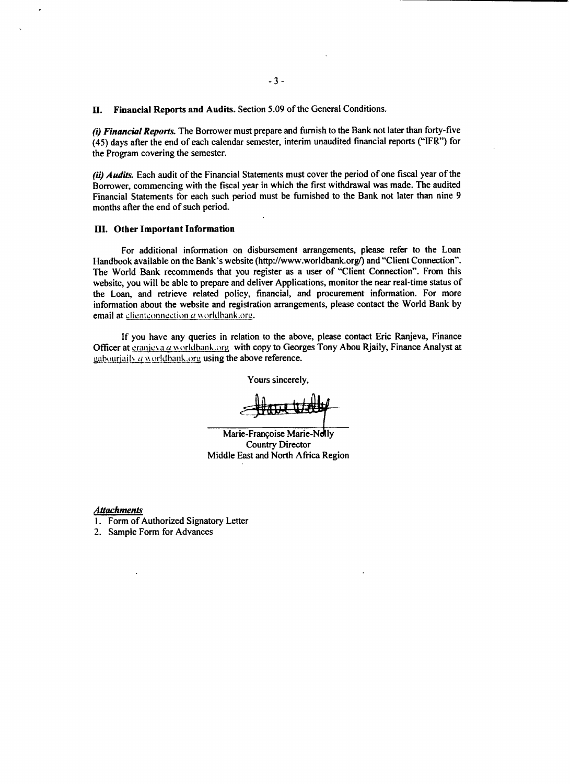**H. Financial Reports and Audits.** Section **5.09** of the General Conditions.

(i) *Financial Reports.* The Borrower must prepare and furnish to the Bank not later than forty-five *(45)* days after the end of each calendar semester, interim unaudited financial reports ("IFR") for the Program covering the semester.

**(ii)** *Audits.* Each audit of the Financial Statements must cover the period of one fiscal year of the Borrower, commencing with the fiscal year in which the first withdrawal was made. The audited Financial Statements for each such period must be furnished to the Bank not later than nine **9** months after the end of such period.

#### **III.** Other Important Information

For additional information on disbursement arrangements, please refer to the Loan Handbook available on the Bank's website (http://www.worldbank.org/) and "Client Connection". The World Bank recommends that you register as a user of "Client Connection". From this website, you will be able to prepare and deliver Applications, monitor the near real-time status of the Loan, and retrieve related policy, financial, and procurement information. For more information about the website and registration arrangements, please contact the World Bank **by** email at clienteonnection  $\alpha$  worldbank.org.

**If** you have any queries in relation to the above, please contact Eric Ranjeva, Finance Officer at eranics a *a* worldbank.org with copy to Georges Tony Abou Rjaily, Finance Analyst at gabouriaily a worldbank,  $\log$  using the above reference.

Yours sincerely,

Marie-Françoise Marie-Nelly Country Director Middle East and North Africa Region

*Attachments*

- **1.** Form of Authorized Signatory Letter
- 2. Sample Form for Advances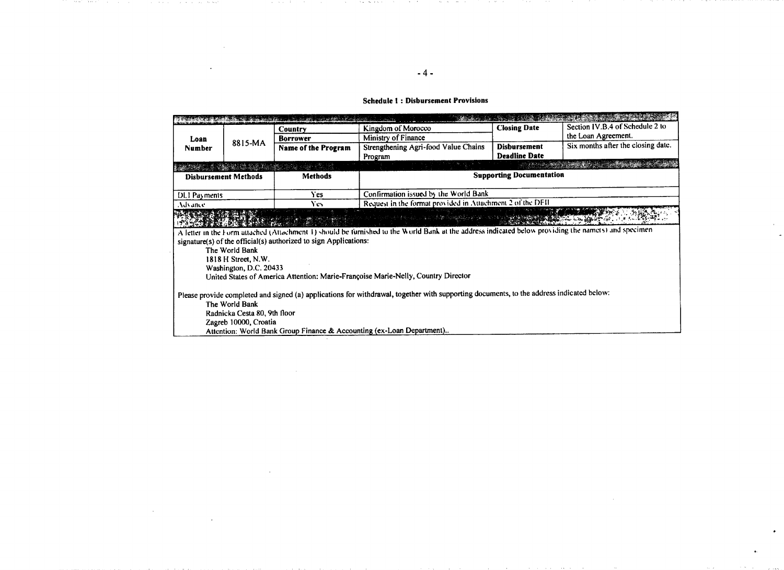### **Schedule** 1: **Disbursement Provisions**

| Loan<br><b>Number</b>                                                                                                                    | 8815-MA               | the companies of the companies of the companies of the companies of the companies of the companies of the companies of the companies of the companies of the companies of the companies of the companies of the companies of t<br>Country | Kingdom of Morocco                                                                                                                                   | <b>Closing Date</b>                         | Section IV.B.4 of Schedule 2 to    |
|------------------------------------------------------------------------------------------------------------------------------------------|-----------------------|-------------------------------------------------------------------------------------------------------------------------------------------------------------------------------------------------------------------------------------------|------------------------------------------------------------------------------------------------------------------------------------------------------|---------------------------------------------|------------------------------------|
|                                                                                                                                          |                       | <b>Borrower</b>                                                                                                                                                                                                                           | Ministry of Finance                                                                                                                                  |                                             | the Loan Agreement.                |
|                                                                                                                                          |                       | Name of the Program                                                                                                                                                                                                                       | Strengthening Agri-food Value Chains<br>Program                                                                                                      | <b>Disbursement</b><br><b>Deadline Date</b> | Six months after the closing date. |
|                                                                                                                                          |                       | Alban an Albanda.                                                                                                                                                                                                                         |                                                                                                                                                      |                                             |                                    |
| <b>Disbursement Methods</b>                                                                                                              |                       | <b>Methods</b>                                                                                                                                                                                                                            | <b>Supporting Documentation</b>                                                                                                                      |                                             |                                    |
| DLI Payments                                                                                                                             |                       | <b>Yes</b>                                                                                                                                                                                                                                | Confirmation issued by the World Bank                                                                                                                |                                             |                                    |
| Advance.                                                                                                                                 |                       | Yes.                                                                                                                                                                                                                                      | Request in the format provided in Attachment 2 of the DFII                                                                                           |                                             |                                    |
|                                                                                                                                          |                       |                                                                                                                                                                                                                                           | and the contract of the contract of the contract of the contract of the contract of the contract of the contract of                                  |                                             |                                    |
|                                                                                                                                          |                       |                                                                                                                                                                                                                                           | A letter in the Form attached (Attachment 1) should be furnished to the World Bank at the address indicated below providing the namets) and specimen |                                             |                                    |
| signature(s) of the official(s) authorized to sign Applications:                                                                         |                       |                                                                                                                                                                                                                                           |                                                                                                                                                      |                                             |                                    |
| The World Bank                                                                                                                           |                       |                                                                                                                                                                                                                                           |                                                                                                                                                      |                                             |                                    |
| 1818 H Street, N.W.                                                                                                                      |                       |                                                                                                                                                                                                                                           |                                                                                                                                                      |                                             |                                    |
| Washington, D.C. 20433                                                                                                                   |                       |                                                                                                                                                                                                                                           |                                                                                                                                                      |                                             |                                    |
| United States of America Attention: Marie-Françoise Marie-Nelly, Country Director                                                        |                       |                                                                                                                                                                                                                                           |                                                                                                                                                      |                                             |                                    |
| Please provide completed and signed (a) applications for withdrawal, together with supporting documents, to the address indicated below: |                       |                                                                                                                                                                                                                                           |                                                                                                                                                      |                                             |                                    |
| The World Bank                                                                                                                           |                       |                                                                                                                                                                                                                                           |                                                                                                                                                      |                                             |                                    |
| Radnicka Cesta 80, 9th floor                                                                                                             |                       |                                                                                                                                                                                                                                           |                                                                                                                                                      |                                             |                                    |
|                                                                                                                                          | Zagreb 10000, Croatia |                                                                                                                                                                                                                                           |                                                                                                                                                      |                                             |                                    |
|                                                                                                                                          |                       |                                                                                                                                                                                                                                           | Attention: World Bank Group Finance & Accounting (ex-Loan Department)                                                                                |                                             |                                    |

in ex-

contract of the con-

contract of the state and the property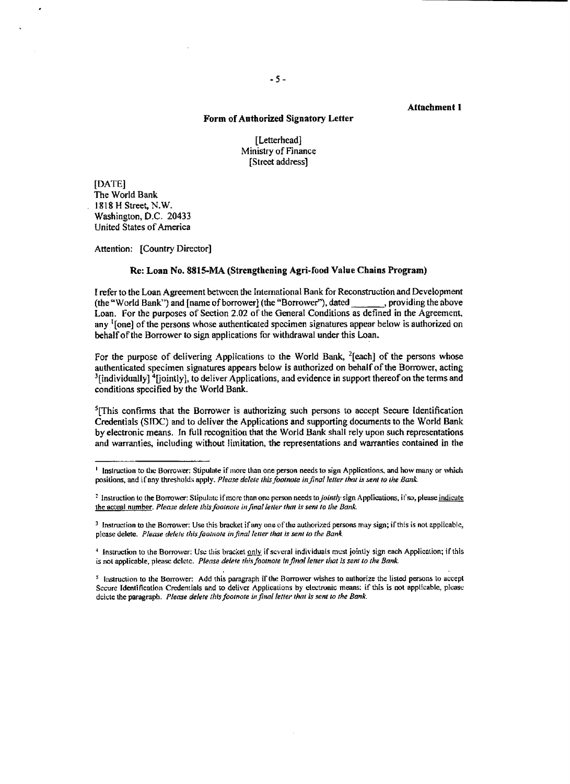## Attachment 1

# Form of Authorized Signatory Letter

[Letterhead] Ministry of Finance [Street address]

**[DATE]** The World Bank **1818** H Street, N.W. Washington, **D.C\_** 20433 United States of America

Attention: [Country Director]

## Re: Loan No. **8815-MA** (Strengthening Agri-food Value Chains Program)

**I** refer to the Loan Agreement between the International Bank for Reconstruction and Development (the "World Bank") and [name of borrower] (the "Borrower"), dated , providing the above Loan. For the purposes of Section 2.02 **of** the General Conditions as defined in the Agreement, any <sup>1</sup>[one] of the persons whose authenticated specimen signatures appear below is authorized on behalf of the Borrower to sign applications for withdrawal under this Loan.

For the purpose of delivering Applications to the World Bank,  $^{2}$ [each] of the persons whose authenticated specimen signatures appears below is authorized on behalf of the Borrower, acting  $^3$ [individually]  $^4$ [jointly], to deliver Applications, and evidence in support thereof on the terms and conditions specified **by** the World Bank.

<sup>5</sup>[This confirms that the Borrower is authorizing such persons to accept Secure Identification Credentials **(SIDC)** and to deliver the Applications and supporting documents to the World Bank **by** electronic means. In full recognition that the World Bank shall rely upon such representations and warranties, including without limitation, the representations and warranties contained in the

**<sup>&#</sup>x27;** Instruction to the Borrower: Stipulate if morc than one person needs to sign Applications, and how many or which positions, and i Cany thresholds apply. *Please delete this footnote in final letter that is* **sent** *to the Bank*

<sup>&</sup>lt;sup>2</sup> Instruction to the Borrower: Stipulate if more than one person needs to *jointly* sign Applications, if so, please indicate the actual number *Please delete this footnote infinalletter that is seni to the Bank*

**<sup>3</sup>** Instruction to the Borrower: Use this bracket if any one of the authorized persons may sign; if this is not applicable, please delete. *Please delete this foolnote in final letter that is sent to the Bank.*

<sup>&</sup>lt;sup>4</sup> Instruction to the Borrower: Use this bracket only if several individuals must jointly sign each Application; if this is not applicable, please delete. *Please delete this footnote In final letter that is sent to the Bank*

s Instruction to the Borrower: **Add** this paragraph if the Borrower wishes to authorize the listed persons **to** accept Secure Identification Credentials and to deliver Applications **by** electronic means: if this is not applicable, please delete the paragraph. **Please** *delete this footnote in final letter that is sent to rthe Bank.*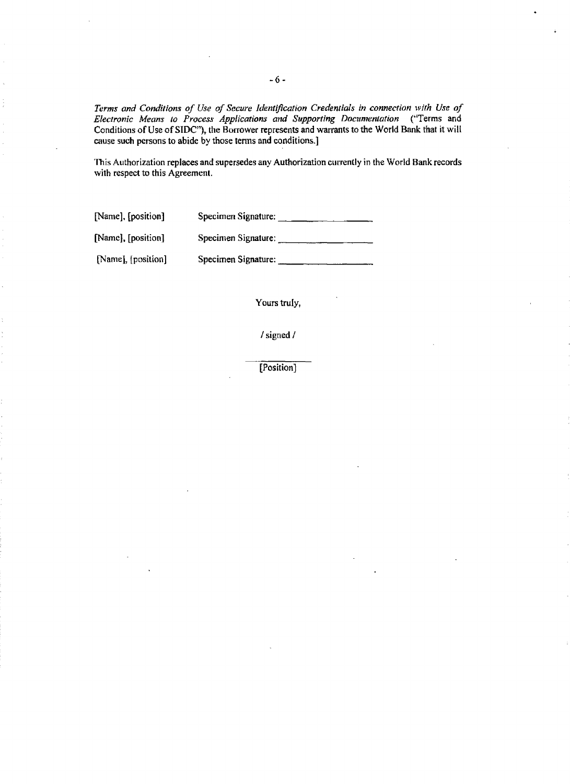*Terms and Conditions of Use of Secure Identification Credentials in connection with Use of Electronic Means to Process Applications and Supporting Documentation* ("Terms and Conditions of Use of **SIDC"),** the Borrower represents and warrants to the World Bank that it will cause such persons to abide **by** those tens and conditions.]

This Authorization replaces and supersedes any Authorization currently in the World Bank records with respect to this Agreement.

[Name], [position] Specimen Signature:

[Name], [position] Specimen Signature:

[Name], [position] Specimen Signature:

Yours truly,

/signed/

[Position]